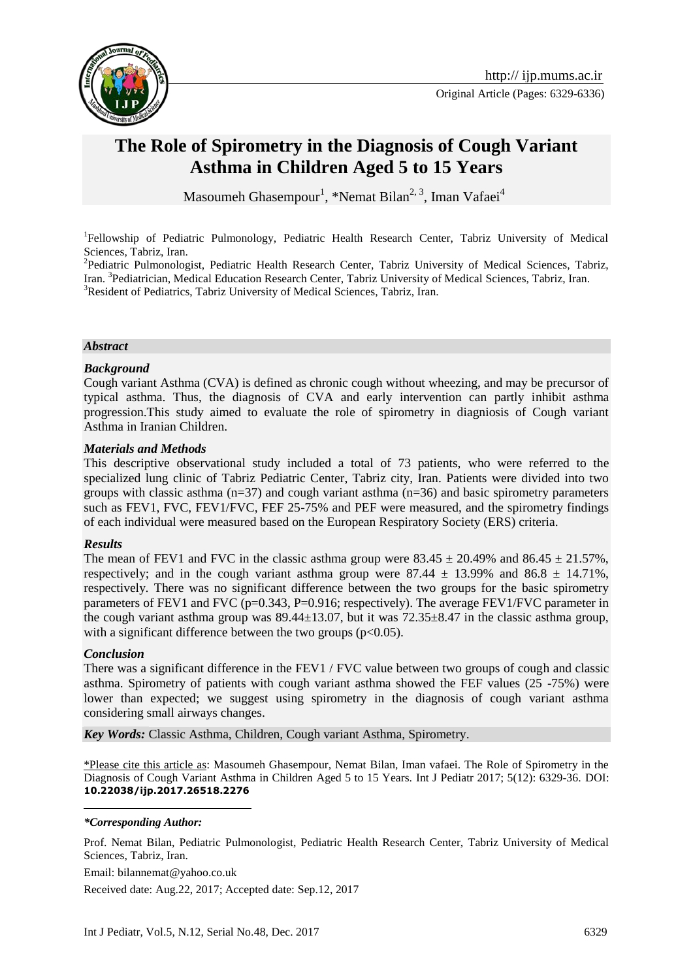

# **The Role of Spirometry in the Diagnosis of Cough Variant Asthma in Children Aged 5 to 15 Years**

Masoumeh Ghasempour<sup>1</sup>, \*Nemat Bilan<sup>2, 3</sup>, Iman Vafaei<sup>4</sup>

<sup>1</sup>Fellowship of Pediatric Pulmonology, Pediatric Health Research Center, Tabriz University of Medical Sciences, Tabriz, Iran.

<sup>2</sup>Pediatric Pulmonologist, Pediatric Health Research Center, Tabriz University of Medical Sciences, Tabriz, Iran. <sup>3</sup>Pediatrician, Medical Education Research Center, Tabriz University of Medical Sciences, Tabriz, Iran. <sup>3</sup>Resident of Pediatrics, Tabriz University of Medical Sciences, Tabriz, Iran.

#### *Abstract*

#### *Background*

Cough variant Asthma (CVA) is defined as chronic cough without wheezing, and may be precursor of typical asthma. Thus, the diagnosis of CVA and early intervention can partly inhibit asthma progression.This study aimed to evaluate the role of spirometry in diagniosis of Cough variant Asthma in Iranian Children.

#### *Materials and Methods*

This descriptive observational study included a total of 73 patients, who were referred to the specialized lung clinic of Tabriz Pediatric Center, Tabriz city, Iran. Patients were divided into two groups with classic asthma  $(n=37)$  and cough variant asthma  $(n=36)$  and basic spirometry parameters such as FEV1, FVC, FEV1/FVC, FEF 25-75% and PEF were measured, and the spirometry findings of each individual were measured based on the European Respiratory Society (ERS) criteria.

#### *Results*

The mean of FEV1 and FVC in the classic asthma group were  $83.45 \pm 20.49\%$  and  $86.45 \pm 21.57\%$ , respectively; and in the cough variant asthma group were  $87.44 \pm 13.99\%$  and  $86.8 \pm 14.71\%$ , respectively*.* There was no significant difference between the two groups for the basic spirometry parameters of FEV1 and FVC (p=0.343, P=0.916; respectively). The average FEV1/FVC parameter in the cough variant asthma group was  $89.44 \pm 13.07$ , but it was  $72.35 \pm 8.47$  in the classic asthma group, with a significant difference between the two groups  $(p<0.05)$ .

#### *Conclusion*

<u>.</u>

There was a significant difference in the FEV1 / FVC value between two groups of cough and classic asthma. Spirometry of patients with cough variant asthma showed the FEF values (25 -75%) were lower than expected; we suggest using spirometry in the diagnosis of cough variant asthma considering small airways changes.

*Key Words:* Classic Asthma, Children, Cough variant Asthma, Spirometry.

\*Please cite this article as: Masoumeh Ghasempour, Nemat Bilan, Iman vafaei. The Role of Spirometry in the Diagnosis of Cough Variant Asthma in Children Aged 5 to 15 Years. Int J Pediatr 2017; 5(12): 6329-36. DOI: **10.22038/ijp.2017.26518.2276**

#### *\*Corresponding Author:*

Prof. Nemat Bilan, Pediatric Pulmonologist, Pediatric Health Research Center, Tabriz University of Medical Sciences, Tabriz, Iran.

Email: bilannemat@yahoo.co.uk

Received date: Aug.22, 2017; Accepted date: Sep.12, 2017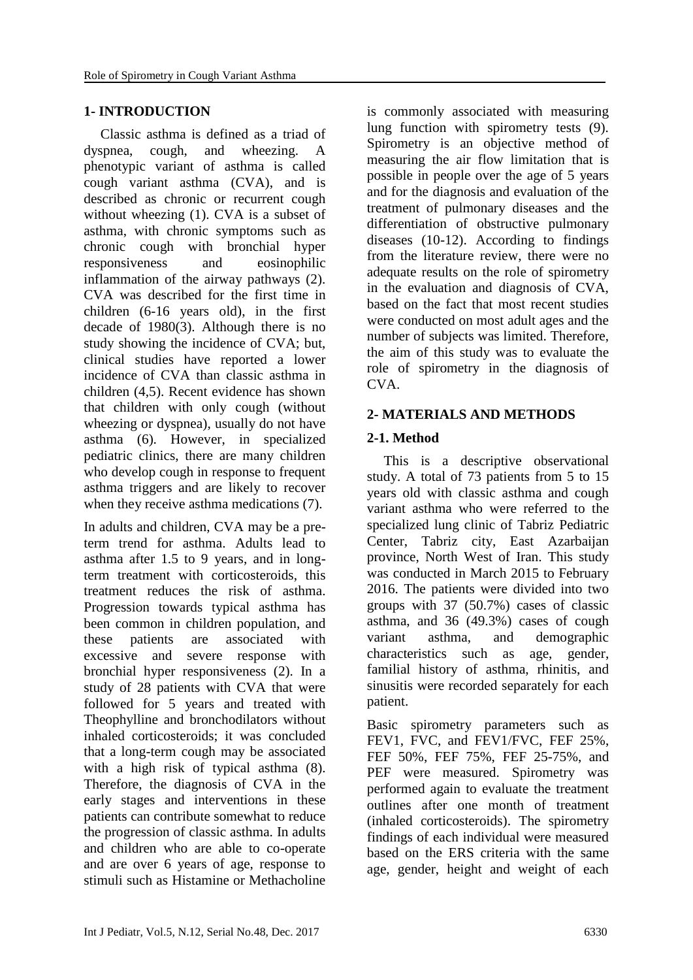#### **1- INTRODUCTION**

Classic asthma is defined as a triad of dyspnea, cough, and wheezing. A phenotypic variant of asthma is called cough variant asthma (CVA), and is described as chronic or recurrent cough without wheezing (1). CVA is a subset of asthma, with chronic symptoms such as chronic cough with bronchial hyper responsiveness and eosinophilic inflammation of the airway pathways (2). CVA was described for the first time in children (6-16 years old), in the first decade of 1980(3). Although there is no study showing the incidence of CVA; but, clinical studies have reported a lower incidence of CVA than classic asthma in children (4,5). Recent evidence has shown that children with only cough (without wheezing or dyspnea), usually do not have asthma (6). However, in specialized pediatric clinics, there are many children who develop cough in response to frequent asthma triggers and are likely to recover when they receive asthma medications (7).

In adults and children, CVA may be a preterm trend for asthma. Adults lead to asthma after 1.5 to 9 years, and in longterm treatment with corticosteroids, this treatment reduces the risk of asthma. Progression towards typical asthma has been common in children population, and these patients are associated with excessive and severe response with bronchial hyper responsiveness (2). In a study of 28 patients with CVA that were followed for 5 years and treated with Theophylline and bronchodilators without inhaled corticosteroids; it was concluded that a long-term cough may be associated with a high risk of typical asthma (8). Therefore, the diagnosis of CVA in the early stages and interventions in these patients can contribute somewhat to reduce the progression of classic asthma. In adults and children who are able to co-operate and are over 6 years of age, response to stimuli such as Histamine or Methacholine

is commonly associated with measuring lung function with spirometry tests (9). Spirometry is an objective method of measuring the air flow limitation that is possible in people over the age of 5 years and for the diagnosis and evaluation of the treatment of pulmonary diseases and the differentiation of obstructive pulmonary diseases (10-12). According to findings from the literature review, there were no adequate results on the role of spirometry in the evaluation and diagnosis of CVA, based on the fact that most recent studies were conducted on most adult ages and the number of subjects was limited. Therefore, the aim of this study was to evaluate the role of spirometry in the diagnosis of CVA.

### **2- MATERIALS AND METHODS**

### **2-1. Method**

This is a descriptive observational study. A total of 73 patients from 5 to 15 years old with classic asthma and cough variant asthma who were referred to the specialized lung clinic of Tabriz Pediatric Center, Tabriz city, East Azarbaijan province, North West of Iran. This study was conducted in March 2015 to February 2016. The patients were divided into two groups with 37 (50.7%) cases of classic asthma, and 36 (49.3%) cases of cough variant asthma, and demographic characteristics such as age, gender, familial history of asthma, rhinitis, and sinusitis were recorded separately for each patient.

Basic spirometry parameters such as FEV1, FVC, and FEV1/FVC, FEF 25%, FEF 50%, FEF 75%, FEF 25-75%, and PEF were measured. Spirometry was performed again to evaluate the treatment outlines after one month of treatment (inhaled corticosteroids). The spirometry findings of each individual were measured based on the ERS criteria with the same age, gender, height and weight of each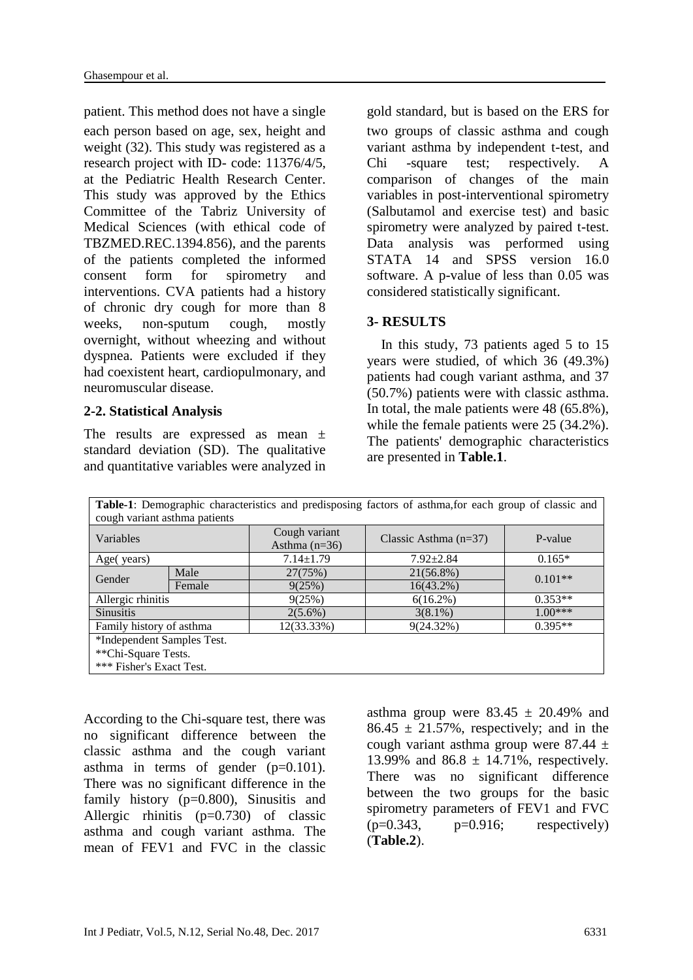patient. This method does not have a single gold standard, but is based on the ERS for each person based on age, sex, height and weight (32). This study was registered as a research project with ID- code: 11376/4/5, at the Pediatric Health Research Center. This study was approved by the Ethics Committee of the Tabriz University of Medical Sciences (with ethical code of TBZMED.REC.1394.856), and the parents of the patients completed the informed consent form for spirometry and interventions. CVA patients had a history of chronic dry cough for more than 8 weeks, non-sputum cough, mostly overnight, without wheezing and without dyspnea. Patients were excluded if they had coexistent heart, cardiopulmonary, and neuromuscular disease.

#### **2-2. Statistical Analysis**

The results are expressed as mean  $\pm$ standard deviation (SD). The qualitative and quantitative variables were analyzed in two groups of classic asthma and cough variant asthma by independent t-test, and Chi -square test; respectively. A comparison of changes of the main variables in post-interventional spirometry (Salbutamol and exercise test) and basic spirometry were analyzed by paired t-test. Data analysis was performed using STATA 14 and SPSS version 16.0 software. A p-value of less than 0.05 was considered statistically significant.

### **3- RESULTS**

 In this study, 73 patients aged 5 to 15 years were studied, of which 36 (49.3%) patients had cough variant asthma, and 37 (50.7%) patients were with classic asthma. In total, the male patients were 48 (65.8%), while the female patients were 25 (34.2%). The patients' demographic characteristics are presented in **Table.1**.

| Table-1: Demographic characteristics and predisposing factors of asthma, for each group of classic and |        |                                  |                         |           |  |  |
|--------------------------------------------------------------------------------------------------------|--------|----------------------------------|-------------------------|-----------|--|--|
| cough variant asthma patients                                                                          |        |                                  |                         |           |  |  |
| Variables                                                                                              |        | Cough variant<br>Asthma $(n=36)$ | Classic Asthma $(n=37)$ | P-value   |  |  |
| Age(years)                                                                                             |        | $7.14 \pm 1.79$                  | $7.92 \pm 2.84$         | $0.165*$  |  |  |
| Gender                                                                                                 | Male   | 27(75%)                          | $21(56.8\%)$            | $0.101**$ |  |  |
|                                                                                                        | Female | 9(25%)                           | $16(43.2\%)$            |           |  |  |
| Allergic rhinitis                                                                                      |        | 9(25%)                           | $6(16.2\%)$             | $0.353**$ |  |  |
| <b>Sinusitis</b>                                                                                       |        | $2(5.6\%)$                       | $3(8.1\%)$              | $1.00***$ |  |  |
| Family history of asthma                                                                               |        | 12(33.33%)                       | 9(24.32%)               | $0.395**$ |  |  |
| *Independent Samples Test.                                                                             |        |                                  |                         |           |  |  |
| **Chi-Square Tests.                                                                                    |        |                                  |                         |           |  |  |
| *** Fisher's Exact Test.                                                                               |        |                                  |                         |           |  |  |

According to the Chi-square test, there was no significant difference between the classic asthma and the cough variant asthma in terms of gender  $(p=0.101)$ . There was no significant difference in the family history (p=0.800), Sinusitis and Allergic rhinitis (p=0.730) of classic asthma and cough variant asthma. The mean of FEV1 and FVC in the classic

asthma group were  $83.45 \pm 20.49\%$  and  $86.45 \pm 21.57\%$ , respectively; and in the cough variant asthma group were  $87.44 \pm$ 13.99% and 86.8 ± 14.71%, respectively*.*  There was no significant difference between the two groups for the basic spirometry parameters of FEV1 and FVC  $(p=0.343, p=0.916;$  respectively) (**Table.2**).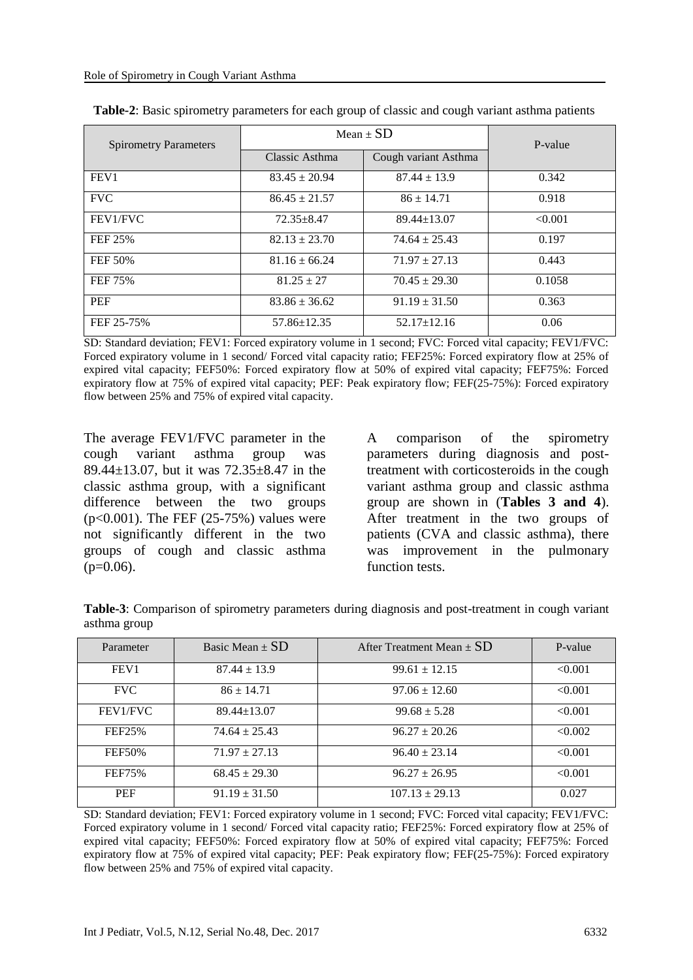| <b>Spirometry Parameters</b> | Mean $\pm$ SD     | P-value              |         |
|------------------------------|-------------------|----------------------|---------|
|                              | Classic Asthma    | Cough variant Asthma |         |
| FEV <sub>1</sub>             | $83.45 \pm 20.94$ | $87.44 \pm 13.9$     | 0.342   |
| <b>FVC</b>                   | $86.45 \pm 21.57$ | $86 \pm 14.71$       | 0.918   |
| FEV1/FVC                     | $72.35 + 8.47$    | $89.44 \pm 13.07$    | < 0.001 |
| <b>FEF 25%</b>               | $82.13 \pm 23.70$ | $74.64 \pm 25.43$    | 0.197   |
| FEF 50%                      | $81.16 \pm 66.24$ | $71.97 \pm 27.13$    | 0.443   |
| FEF 75%                      | $81.25 \pm 27$    | $70.45 \pm 29.30$    | 0.1058  |
| <b>PEF</b>                   | $83.86 \pm 36.62$ | $91.19 \pm 31.50$    | 0.363   |
| FEF 25-75%                   | $57.86 \pm 12.35$ | $52.17 \pm 12.16$    | 0.06    |

| Table-2: Basic spirometry parameters for each group of classic and cough variant asthma patients |  |  |
|--------------------------------------------------------------------------------------------------|--|--|
|                                                                                                  |  |  |

SD: Standard deviation; FEV1: Forced expiratory volume in 1 second; FVC: Forced vital capacity; FEV1/FVC: Forced expiratory volume in 1 second/ Forced vital capacity ratio; FEF25%: Forced expiratory flow at 25% of expired vital capacity; FEF50%: Forced expiratory flow at 50% of expired vital capacity; FEF75%: Forced expiratory flow at 75% of expired vital capacity; PEF: Peak expiratory flow; FEF(25-75%): Forced expiratory flow between 25% and 75% of expired vital capacity.

The average FEV1/FVC parameter in the cough variant asthma group was 89.44±13.07, but it was 72.35±8.47 in the classic asthma group, with a significant difference between the two groups (p<0.001). The FEF (25-75%) values were not significantly different in the two groups of cough and classic asthma  $(p=0.06)$ .

A comparison of the spirometry parameters during diagnosis and posttreatment with corticosteroids in the cough variant asthma group and classic asthma group are shown in (**Tables 3 and 4**). After treatment in the two groups of patients (CVA and classic asthma), there was improvement in the pulmonary function tests.

| Table-3: Comparison of spirometry parameters during diagnosis and post-treatment in cough variant |  |  |  |  |
|---------------------------------------------------------------------------------------------------|--|--|--|--|
| asthma group                                                                                      |  |  |  |  |

| Parameter        | Basic Mean $\pm$ SD | After Treatment Mean $\pm$ SD | P-value |
|------------------|---------------------|-------------------------------|---------|
| FEV <sub>1</sub> | $87.44 \pm 13.9$    | $99.61 \pm 12.15$             | < 0.001 |
| <b>FVC</b>       | $86 \pm 14.71$      | $97.06 \pm 12.60$             | < 0.001 |
| FEV1/FVC         | $89.44 \pm 13.07$   | $99.68 \pm 5.28$              | < 0.001 |
| FEF25%           | $74.64 \pm 25.43$   | $96.27 \pm 20.26$             | < 0.002 |
| <b>FEF50%</b>    | $71.97 \pm 27.13$   | $96.40 \pm 23.14$             | < 0.001 |
| <b>FEF75%</b>    | $68.45 \pm 29.30$   | $96.27 \pm 26.95$             | < 0.001 |
| <b>PEF</b>       | $91.19 \pm 31.50$   | $107.13 \pm 29.13$            | 0.027   |

SD: Standard deviation; FEV1: Forced expiratory volume in 1 second; FVC: Forced vital capacity; FEV1/FVC: Forced expiratory volume in 1 second/ Forced vital capacity ratio; FEF25%: Forced expiratory flow at 25% of expired vital capacity; FEF50%: Forced expiratory flow at 50% of expired vital capacity; FEF75%: Forced expiratory flow at 75% of expired vital capacity; PEF: Peak expiratory flow; FEF(25-75%): Forced expiratory flow between 25% and 75% of expired vital capacity.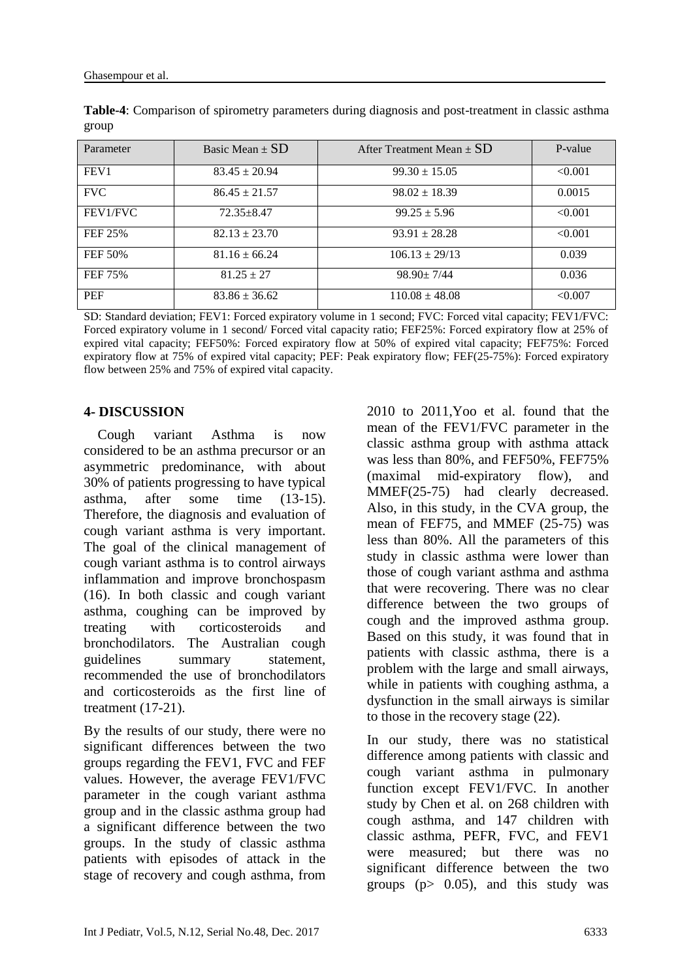| Parameter        | Basic Mean $\pm$ SD | After Treatment Mean $\pm$ SD | P-value |
|------------------|---------------------|-------------------------------|---------|
| FEV <sub>1</sub> | $83.45 \pm 20.94$   | $99.30 \pm 15.05$             | < 0.001 |
| <b>FVC</b>       | $86.45 \pm 21.57$   | $98.02 \pm 18.39$             | 0.0015  |
| FEV1/FVC         | $72.35 + 8.47$      | $99.25 \pm 5.96$              | < 0.001 |
| FEF 25%          | $82.13 \pm 23.70$   | $93.91 \pm 28.28$             | < 0.001 |
| <b>FEF 50%</b>   | $81.16 \pm 66.24$   | $106.13 \pm 29/13$            | 0.039   |
| FEF 75%          | $81.25 \pm 27$      | $98.90 \pm 7/44$              | 0.036   |
| <b>PEF</b>       | $83.86 \pm 36.62$   | $110.08 \pm 48.08$            | < 0.007 |

**Table-4**: Comparison of spirometry parameters during diagnosis and post-treatment in classic asthma group

SD: Standard deviation; FEV1: Forced expiratory volume in 1 second; FVC: Forced vital capacity; FEV1/FVC: Forced expiratory volume in 1 second/ Forced vital capacity ratio; FEF25%: Forced expiratory flow at 25% of expired vital capacity; FEF50%: Forced expiratory flow at 50% of expired vital capacity; FEF75%: Forced expiratory flow at 75% of expired vital capacity; PEF: Peak expiratory flow; FEF(25-75%): Forced expiratory flow between 25% and 75% of expired vital capacity.

### **4- DISCUSSION**

 Cough variant Asthma is now considered to be an asthma precursor or an asymmetric predominance, with about 30% of patients progressing to have typical asthma, after some time (13-15). Therefore, the diagnosis and evaluation of cough variant asthma is very important. The goal of the clinical management of cough variant asthma is to control airways inflammation and improve bronchospasm (16). In both classic and cough variant asthma, coughing can be improved by treating with corticosteroids and bronchodilators. The Australian cough guidelines summary statement, recommended the use of bronchodilators and corticosteroids as the first line of treatment (17-21).

By the results of our study, there were no significant differences between the two groups regarding the FEV1, FVC and FEF values. However, the average FEV1/FVC parameter in the cough variant asthma group and in the classic asthma group had a significant difference between the two groups. In the study of classic asthma patients with episodes of attack in the stage of recovery and cough asthma, from 2010 to 2011,Yoo et al. found that the mean of the FEV1/FVC parameter in the classic asthma group with asthma attack was less than 80%, and FEF50%, FEF75% (maximal mid-expiratory flow), and MMEF(25-75) had clearly decreased. Also, in this study, in the CVA group, the mean of FEF75, and MMEF (25-75) was less than 80%. All the parameters of this study in classic asthma were lower than those of cough variant asthma and asthma that were recovering. There was no clear difference between the two groups of cough and the improved asthma group. Based on this study, it was found that in patients with classic asthma, there is a problem with the large and small airways, while in patients with coughing asthma, a dysfunction in the small airways is similar to those in the recovery stage (22).

In our study, there was no statistical difference among patients with classic and cough variant asthma in pulmonary function except FEV1/FVC. In another study by Chen et al. on 268 children with cough asthma, and 147 children with classic asthma, PEFR, FVC, and FEV1 were measured; but there was no significant difference between the two groups ( $p$   $>$  0.05), and this study was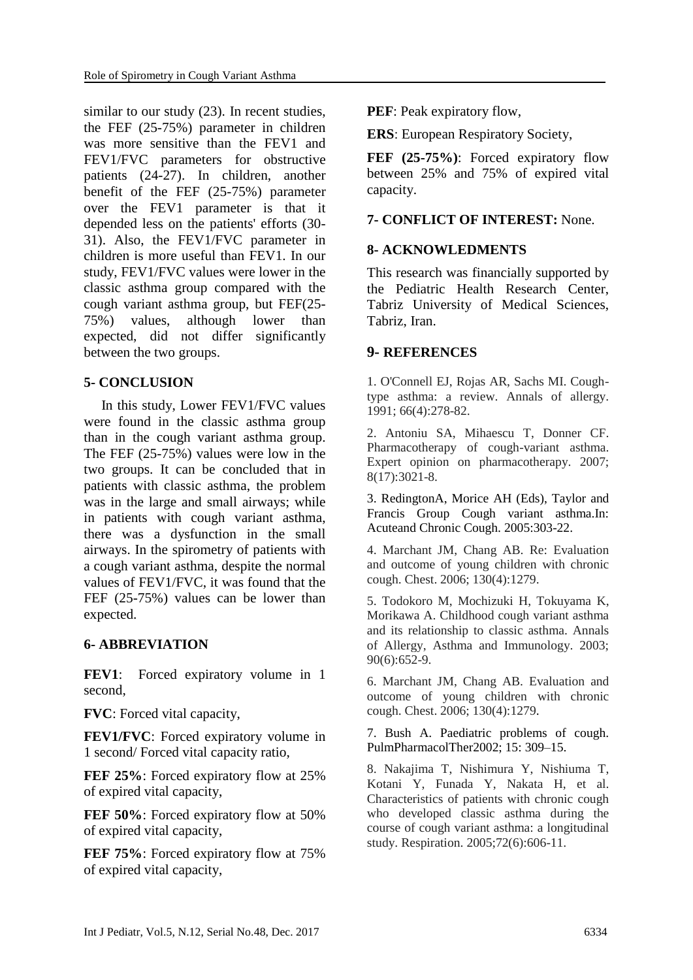similar to our study (23). In recent studies, the FEF (25-75%) parameter in children was more sensitive than the FEV1 and FEV1/FVC parameters for obstructive patients (24-27). In children, another benefit of the FEF (25-75%) parameter over the FEV1 parameter is that it depended less on the patients' efforts (30- 31). Also, the FEV1/FVC parameter in children is more useful than FEV1. In our study, FEV1/FVC values were lower in the classic asthma group compared with the cough variant asthma group, but FEF(25- 75%) values, although lower than expected, did not differ significantly between the two groups.

### **5- CONCLUSION**

 In this study, Lower FEV1/FVC values were found in the classic asthma group than in the cough variant asthma group. The FEF (25-75%) values were low in the two groups. It can be concluded that in patients with classic asthma, the problem was in the large and small airways; while in patients with cough variant asthma, there was a dysfunction in the small airways. In the spirometry of patients with a cough variant asthma, despite the normal values of FEV1/FVC, it was found that the FEF (25-75%) values can be lower than expected.

## **6- ABBREVIATION**

**FEV1**: Forced expiratory volume in 1 second,

**FVC**: Forced vital capacity,

**FEV1/FVC**: Forced expiratory volume in 1 second/ Forced vital capacity ratio,

**FEF 25%:** Forced expiratory flow at 25% of expired vital capacity,

**FEF 50%:** Forced expiratory flow at 50% of expired vital capacity,

**FEF 75%**: Forced expiratory flow at 75% of expired vital capacity,

**PEF**: Peak expiratory flow,

**ERS**: European Respiratory Society,

**FEF (25-75%)**: Forced expiratory flow between 25% and 75% of expired vital capacity.

### **7- CONFLICT OF INTEREST:** None.

### **8- ACKNOWLEDMENTS**

This research was financially supported by the Pediatric Health Research Center, Tabriz University of Medical Sciences, Tabriz, Iran.

### **9- REFERENCES**

1. O'Connell EJ, Rojas AR, Sachs MI. Coughtype asthma: a review. Annals of allergy. 1991; 66(4):278-82.

2. Antoniu SA, Mihaescu T, Donner CF. Pharmacotherapy of cough-variant asthma. Expert opinion on pharmacotherapy. 2007; 8(17):3021-8.

3. RedingtonA, Morice AH (Eds), Taylor and Francis Group Cough variant asthma.In: Acuteand Chronic Cough. 2005:303-22.

4. Marchant JM, Chang AB. Re: Evaluation and outcome of young children with chronic cough. Chest. 2006; 130(4):1279.

5. Todokoro M, Mochizuki H, Tokuyama K, Morikawa A. Childhood cough variant asthma and its relationship to classic asthma. Annals of Allergy, Asthma and Immunology. 2003; 90(6):652-9.

6. Marchant JM, Chang AB. Evaluation and outcome of young children with chronic cough. Chest. 2006; 130(4):1279.

7. Bush A. Paediatric problems of cough. PulmPharmacolTher2002; 15: 309–15.

8. Nakajima T, Nishimura Y, Nishiuma T, Kotani Y, Funada Y, Nakata H, et al. Characteristics of patients with chronic cough who developed classic asthma during the course of cough variant asthma: a longitudinal study. Respiration. 2005;72(6):606-11.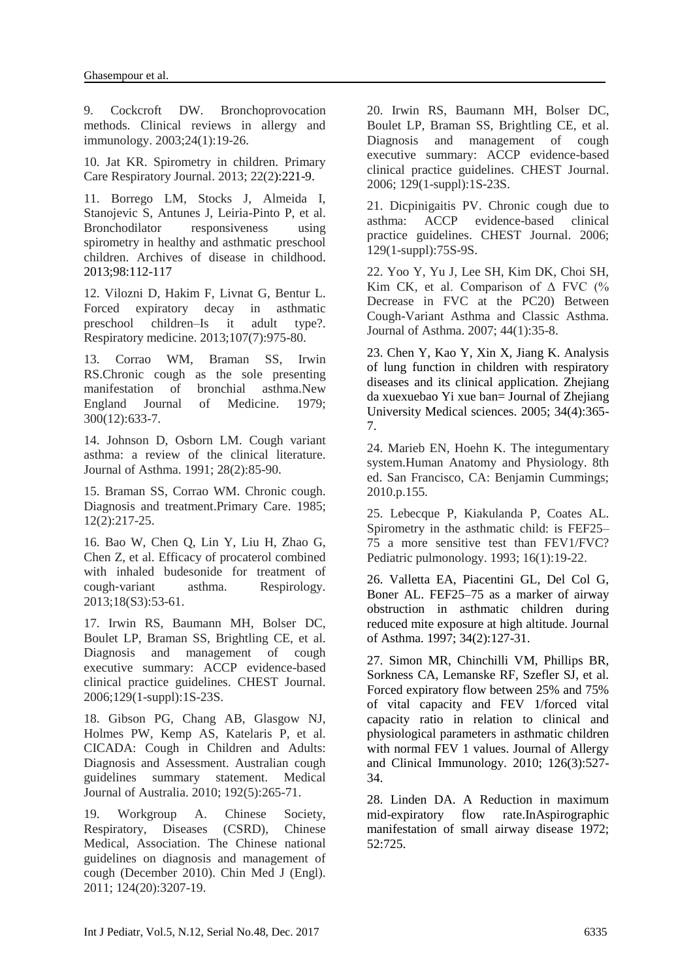9. Cockcroft DW. Bronchoprovocation methods. Clinical reviews in allergy and immunology. 2003;24(1):19-26.

10. Jat KR. Spirometry in children. Primary Care Respiratory Journal. 2013; 22(2):221-9.

11. Borrego LM, Stocks J, Almeida I, Stanojevic S, Antunes J, Leiria-Pinto P, et al. Bronchodilator responsiveness using spirometry in healthy and asthmatic preschool children. Archives of disease in childhood. 2013;98:112-117

12. Vilozni D, Hakim F, Livnat G, Bentur L. Forced expiratory decay in asthmatic preschool children–Is it adult type?. Respiratory medicine. 2013;107(7):975-80.

13. Corrao WM, Braman SS, Irwin RS.Chronic cough as the sole presenting manifestation of bronchial asthma.New England Journal of Medicine. 1979; 300(12):633-7.

14. Johnson D, Osborn LM. Cough variant asthma: a review of the clinical literature. Journal of Asthma. 1991; 28(2):85-90.

15. Braman SS, Corrao WM. Chronic cough. Diagnosis and treatment.Primary Care. 1985; 12(2):217-25.

16. Bao W, Chen Q, Lin Y, Liu H, Zhao G, Chen Z, et al. Efficacy of procaterol combined with inhaled budesonide for treatment of cough‐variant asthma. Respirology. 2013;18(S3):53-61.

17. Irwin RS, Baumann MH, Bolser DC, Boulet LP, Braman SS, Brightling CE, et al. Diagnosis and management of cough executive summary: ACCP evidence-based clinical practice guidelines. CHEST Journal. 2006;129(1-suppl):1S-23S.

18. Gibson PG, Chang AB, Glasgow NJ, Holmes PW, Kemp AS, Katelaris P, et al. CICADA: Cough in Children and Adults: Diagnosis and Assessment. Australian cough guidelines summary statement. Medical Journal of Australia. 2010; 192(5):265-71.

19. Workgroup A. Chinese Society, Respiratory, Diseases (CSRD), Chinese Medical, Association. The Chinese national guidelines on diagnosis and management of cough (December 2010). Chin Med J (Engl). 2011; 124(20):3207-19.

20. Irwin RS, Baumann MH, Bolser DC, Boulet LP, Braman SS, Brightling CE, et al. Diagnosis and management of cough executive summary: ACCP evidence-based clinical practice guidelines. CHEST Journal. 2006; 129(1-suppl):1S-23S.

21. Dicpinigaitis PV. Chronic cough due to asthma: ACCP evidence-based clinical practice guidelines. CHEST Journal. 2006; 129(1-suppl):75S-9S.

22. Yoo Y, Yu J, Lee SH, Kim DK, Choi SH, Kim CK, et al. Comparison of  $\Delta$  FVC (% Decrease in FVC at the PC20) Between Cough-Variant Asthma and Classic Asthma. Journal of Asthma. 2007; 44(1):35-8.

23. Chen Y, Kao Y, Xin X, Jiang K. Analysis of lung function in children with respiratory diseases and its clinical application. Zhejiang da xuexuebao Yi xue ban= Journal of Zhejiang University Medical sciences. 2005; 34(4):365- 7.

24. Marieb EN, Hoehn K. The integumentary system.Human Anatomy and Physiology. 8th ed. San Francisco, CA: Benjamin Cummings; 2010.p.155.

25. Lebecque P, Kiakulanda P, Coates AL. Spirometry in the asthmatic child: is FEF25– 75 a more sensitive test than FEV1/FVC? Pediatric pulmonology. 1993; 16(1):19-22.

26. Valletta EA, Piacentini GL, Del Col G, Boner AL. FEF25–75 as a marker of airway obstruction in asthmatic children during reduced mite exposure at high altitude. Journal of Asthma. 1997; 34(2):127-31.

27. Simon MR, Chinchilli VM, Phillips BR, Sorkness CA, Lemanske RF, Szefler SJ, et al. Forced expiratory flow between 25% and 75% of vital capacity and FEV 1/forced vital capacity ratio in relation to clinical and physiological parameters in asthmatic children with normal FEV 1 values. Journal of Allergy and Clinical Immunology. 2010; 126(3):527- 34.

28. Linden DA. A Reduction in maximum mid-expiratory flow rate.InAspirographic manifestation of small airway disease 1972; 52:725.